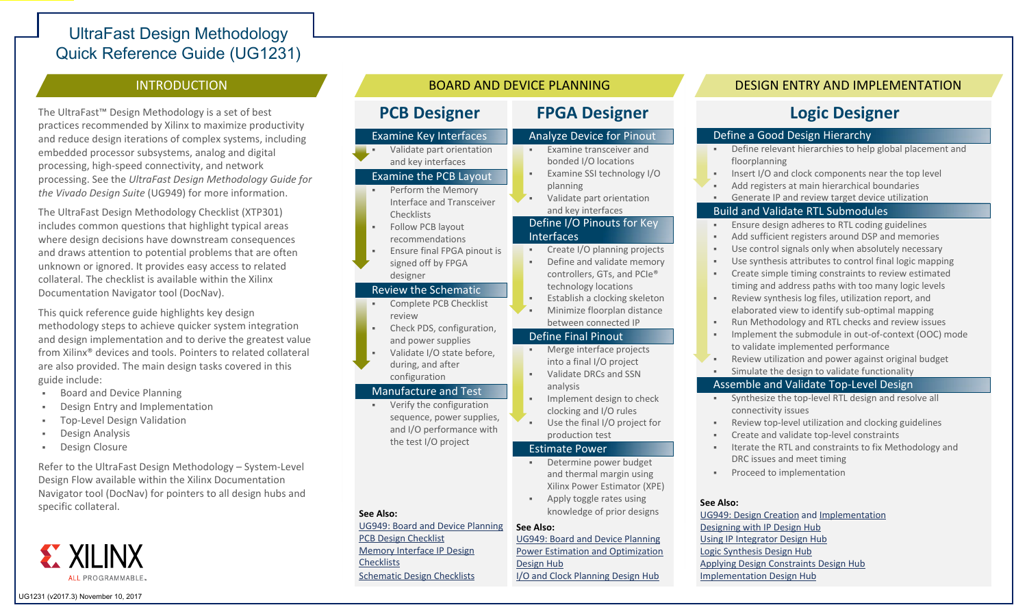# UltraFast Design Methodology Quick Reference Guide (UG1231)

## **INTRODUCTION**

The UltraFast™ Design Methodology is <sup>a</sup> set of best practices recommended by Xilinx to maximize productivity and reduce design iterations of complex systems, including embedded processor subsystems, analog and digital processing, high‐speed connectivity, and network processing. See the *UltraFast Design Methodology Guide for the Vivado Design Suite* (UG949) for more information.

The UltraFast Design Methodology Checklist (XTP301) includes common questions that highlight typical areas where design decisions have downstream consequences and draws attention to potential problems that are often unknown or ignored. It provides easy access to related collateral. The checklist is available within the Xilinx Documentation Navigator tool (DocNav).

This quick reference guide highlights key design methodology steps to achieve quicker system integration and design implementation and to derive the greatest value from Xilinx® devices and tools. Pointers to related collateral are also provided. The main design tasks covered in this guide include:

- $\mathbf{R}$  . Board and Device Planning
- . . Design Entry and Implementation
- . Top‐Level Design Validation
- . Design Analysis
- . . Design Closure

Refer to the UltraFast Design Methodology – System‐Level Design Flow available within the Xilinx Documentation Navigator tool (DocNav) for pointers to all design hubs and specific collateral.



## **PCB** Designer

#### Examine Key Interfaces

. . Validate part orientation and key interfaces

Examine the PCB Layout

- Perform the Memory Interface and Transceiver
- **Checklists** . . Follow PCB layout recommendations
- . . Ensure final FPGA pinout is signed off by FPGA
	- designer

#### Review the Schematic

- . . Complete PCB Checklist review
- . . Check PDS, configuration, and power supplies
- . . Validate I/O state before, during, and after
- configuration

#### Manufacture and Test

 Verify the configuration sequence, power supplies, and I/O performance with the test I/O project

#### **See Also:**

UG949: Board and Device [Planning](https://www.xilinx.com/cgi-bin/docs/rdoc?v=2017.3;d=ug949-vivado-design-methodology.pdf;a=xBoardAndDevicePlanning) PCB Design [Checklist](https://www.xilinx.com/products/design_resources/signal_integrity/si_pcbcheck.htm) [Memory](https://www.xilinx.com/products/intellectual-property/mig.htm) Interface IP Design **Checklists** [Schematic](https://www.xilinx.com/search/site-keyword-search.html?searchKeywords=schematic%20review%20checklist) Design Checklists

# **Designer FPGA Designer**

#### Analyze Device for Pinout

- **Examine transceiver and** bonded I/O locations Examine SSI technology I/O
- . planning
- . Validate part orientation and key interfaces

#### Define I/O Pinouts for Key Interfaces

- . . Create I/O planning projects
- $\sim$  Define and validate memory controllers, GTs, and PCIe® technology locations
- . . Establish <sup>a</sup> clocking skeleton
- . . Minimize floorplan distance between connected IP

#### Define Final Pinout

- Merge interface projects into <sup>a</sup> final I/O project . . Validate DRCs and SSN
- analysis . . Implement design to check clocking and I/O rules
- . . Use the final I/O project for production test

#### Estimate Power

- Determine power budget and thermal margin using Xilinx Power Estimator (XPE)
- . . Apply toggle rates using knowledge of prior designs

#### **See Also:**

UG949: Board and Device [Planning](https://www.xilinx.com/cgi-bin/docs/rdoc?v=2017.3;d=ug949-vivado-design-methodology.pdf;a=xBoardAndDevicePlanning) Power Estimation and [Optimization](https://www.xilinx.com/cgi-bin/docs/ndoc?t=design+hubs;d=dh0008-vivado-power-estimation-and-optimization-hub.html) Design Hub I/O and Clock [Planning](https://www.xilinx.com/cgi-bin/docs/ndoc?t=design+hubs;d=dh0007-vivado-pin-planning-hub.html) Design Hub

# BOARD AND DEVICE PLANNING DESIGN ENTRY AND IMPLEMENTATION

# **Logic Designer**

#### Define <sup>a</sup> Good Design Hierarchy

- . . Define relevant hierarchies to help global placement and floorplanning
- . . Insert I/O and clock components near the top level
- . . Add registers at main hierarchical boundaries
- . . Generate IP and review target device utilization

#### Build and Validate RTL Submodules

- . . Ensure design adheres to RTL coding guidelines
- . . Add sufficient registers around DSP and memories
- . . Use control signals only when absolutely necessary
- . . Use synthesis attributes to control final logic mapping
- . . Create simple timing constraints to review estimated timing and address paths with too many logic levels
- $\sim$  Review synthesis log files, utilization report, and elaborated view to identify sub‐optimal mapping
- . . Run Methodology and RTL checks and review issues
- . . Implement the submodule in out‐of‐context (OOC) mode to validate implemented performance
- . . Review utilization and power against original budget
	- Simulate the design to validate functionality

### Assemble and Validate Top‐Level Design

- Synthesize the top-level RTL design and resolve all connectivity issues
- . . Review top‐level utilization and clocking guidelines
- . . Create and validate top‐level constraints
- . . Iterate the RTL and constraints to fix Methodology and DRC issues and meet timing
- **Proceed to implementation**

#### **See Also:**

UG949: Design [Creation](https://www.xilinx.com/cgi-bin/docs/rdoc?v=2017.3;d=ug949-vivado-design-methodology.pdf;a=xDesignCreation) and [Implementation](https://www.xilinx.com/cgi-bin/docs/rdoc?v=2017.3;d=ug949-vivado-design-methodology.pdf;a=xImplementation) [Designing](https://www.xilinx.com/cgi-bin/docs/ndoc?t=design+hubs;d=dh0003-vivado-designing-with-ip-hub.html) with IP Design Hub Using IP [Integrator](https://www.xilinx.com/cgi-bin/docs/ndoc?t=design+hubs;d=dh0009-vivado-using-ip-integrator-hub.html) Design Hub Logic [Synthesis](https://www.xilinx.com/cgi-bin/docs/ndoc?t=design+hubs;d=dh0018-vivado-synthesis-hub.html) Design Hub [Applying](https://www.xilinx.com/cgi-bin/docs/ndoc?t=design+hubs;d=dh0004-vivado-applying-design-constraints-hub.html) Design [Constraints](https://www.xilinx.com/cgi-bin/docs/ndoc?t=design+hubs;d=dh0004-vivado-applying-design-constraints-hub.html) Design Hub [Implementation](https://www.xilinx.com/cgi-bin/docs/ndoc?t=design+hubs;d=dh0019-vivado-implementation-hub.html) Design Hub